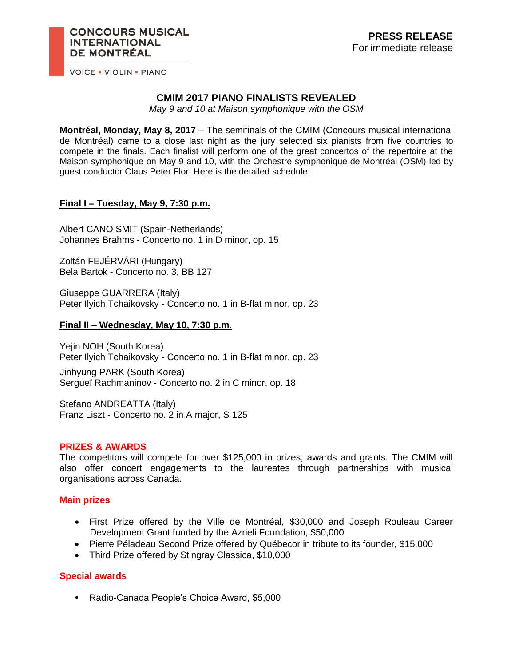**VOICE . VIOLIN . PIANO** 

# **CMIM 2017 PIANO FINALISTS REVEALED**

*May 9 and 10 at Maison symphonique with the OSM*

**Montréal, Monday, May 8, 2017** – The semifinals of the CMIM (Concours musical international de Montréal) came to a close last night as the jury selected six pianists from five countries to compete in the finals. Each finalist will perform one of the great concertos of the repertoire at the Maison symphonique on May 9 and 10, with the Orchestre symphonique de Montréal (OSM) led by guest conductor Claus Peter Flor. Here is the detailed schedule:

## **Final I – Tuesday, May 9, 7:30 p.m.**

Albert CANO SMIT (Spain-Netherlands) Johannes Brahms - Concerto no. 1 in D minor, op. 15

Zoltán FEJÉRVÁRI (Hungary) Bela Bartok - Concerto no. 3, BB 127

Giuseppe GUARRERA (Italy) Peter Ilyich Tchaikovsky - Concerto no. 1 in B-flat minor, op. 23

#### **Final II – Wednesday, May 10, 7:30 p.m.**

Yejin NOH (South Korea) Peter Ilyich Tchaikovsky - Concerto no. 1 in B-flat minor, op. 23

Jinhyung PARK (South Korea) Sergueï Rachmaninov - Concerto no. 2 in C minor, op. 18

Stefano ANDREATTA (Italy) Franz Liszt - Concerto no. 2 in A major, S 125

### **PRIZES & AWARDS**

The competitors will compete for over \$125,000 in prizes, awards and grants. The CMIM will also offer concert engagements to the laureates through partnerships with musical organisations across Canada.

### **Main prizes**

- First Prize offered by the Ville de Montréal, \$30,000 and Joseph Rouleau Career Development Grant funded by the Azrieli Foundation, \$50,000
- Pierre Péladeau Second Prize offered by Québecor in tribute to its founder, \$15,000
- Third Prize offered by Stingray Classica, \$10,000

## **Special awards**

• Radio-Canada People's Choice Award, \$5,000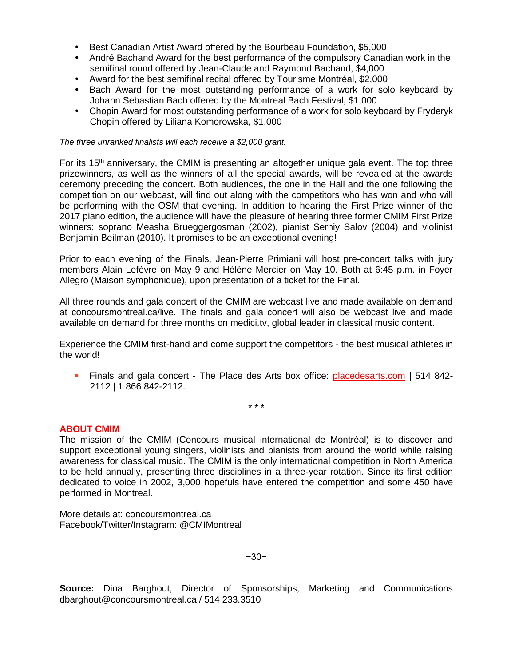- Best Canadian Artist Award offered by the Bourbeau Foundation, \$5,000
- André Bachand Award for the best performance of the compulsory Canadian work in the semifinal round offered by Jean-Claude and Raymond Bachand, \$4,000
- Award for the best semifinal recital offered by Tourisme Montréal, \$2,000
- Bach Award for the most outstanding performance of a work for solo keyboard by Johann Sebastian Bach offered by the Montreal Bach Festival, \$1,000
- Chopin Award for most outstanding performance of a work for solo keyboard by Fryderyk Chopin offered by Liliana Komorowska, \$1,000

#### *The three unranked finalists will each receive a \$2,000 grant.*

For its  $15<sup>th</sup>$  anniversary, the CMIM is presenting an altogether unique gala event. The top three prizewinners, as well as the winners of all the special awards, will be revealed at the awards ceremony preceding the concert. Both audiences, the one in the Hall and the one following the competition on our webcast, will find out along with the competitors who has won and who will be performing with the OSM that evening. In addition to hearing the First Prize winner of the 2017 piano edition, the audience will have the pleasure of hearing three former CMIM First Prize winners: soprano Measha Brueggergosman (2002), pianist Serhiy Salov (2004) and violinist Benjamin Beilman (2010). It promises to be an exceptional evening!

Prior to each evening of the Finals, Jean-Pierre Primiani will host pre-concert talks with jury members Alain Lefèvre on May 9 and Hélène Mercier on May 10. Both at 6:45 p.m. in Foyer Allegro (Maison symphonique), upon presentation of a ticket for the Final.

All three rounds and gala concert of the CMIM are webcast live and made available on demand at concoursmontreal.ca/live. The finals and gala concert will also be webcast live and made available on demand for three months on medici.tv, global leader in classical music content.

Experience the CMIM first-hand and come support the competitors - the best musical athletes in the world!

 Finals and gala concert - The Place des Arts box office: [placedesarts.com](file:///G:/www.laplacedesarts.com) | 514 842- 2112 | 1 866 842-2112.

\* \* \*

### **ABOUT CMIM**

The mission of the CMIM (Concours musical international de Montréal) is to discover and support exceptional young singers, violinists and pianists from around the world while raising awareness for classical music. The CMIM is the only international competition in North America to be held annually, presenting three disciplines in a three-year rotation. Since its first edition dedicated to voice in 2002, 3,000 hopefuls have entered the competition and some 450 have performed in Montreal.

More details at: concoursmontreal.ca Facebook/Twitter/Instagram: @CMIMontreal

−30−

**Source:** Dina Barghout, Director of Sponsorships, Marketing and Communications dbarghout@concoursmontreal.ca / 514 233.3510